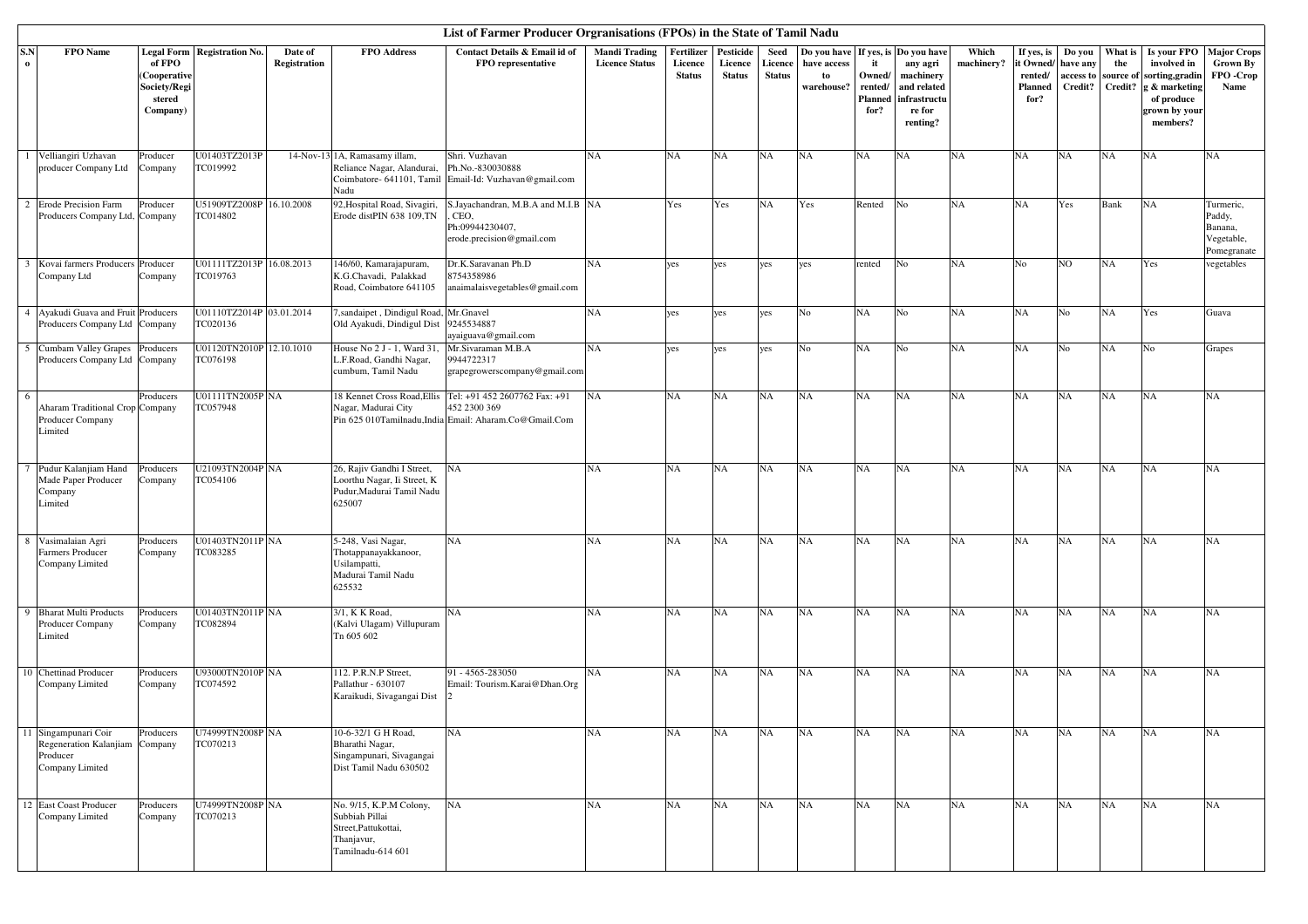|                 | List of Farmer Producer Orgranisations (FPOs) in the State of Tamil Nadu<br>FPO Name<br><b>Legal Form   Registration No.</b><br>Date of<br><b>FPO</b> Address<br>Contact Details & Email id of<br><b>Mandi Trading</b><br>Fertilizer<br>Pesticide<br>Seed<br>Which<br>Is your FPO<br><b>Major Crops</b><br>Do vou have<br>If yes, is Do you have<br>If yes, is<br>Do you<br>What is<br>of FPO<br>Registration<br>FPO representative<br><b>Licence Status</b><br>Licence<br>Licence<br>Licence<br>have access<br>it<br>machinery?<br>it Owned<br>involved in<br>Grown By<br>any agri<br>the<br>have any |                                                    |                                      |                                                                                                      |                                                                                                        |           |               |               |               |                  |                                             |                                                                |           |                            |                      |                      |                                                                             |                                                             |
|-----------------|--------------------------------------------------------------------------------------------------------------------------------------------------------------------------------------------------------------------------------------------------------------------------------------------------------------------------------------------------------------------------------------------------------------------------------------------------------------------------------------------------------------------------------------------------------------------------------------------------------|----------------------------------------------------|--------------------------------------|------------------------------------------------------------------------------------------------------|--------------------------------------------------------------------------------------------------------|-----------|---------------|---------------|---------------|------------------|---------------------------------------------|----------------------------------------------------------------|-----------|----------------------------|----------------------|----------------------|-----------------------------------------------------------------------------|-------------------------------------------------------------|
| S.N<br>$\bf{o}$ |                                                                                                                                                                                                                                                                                                                                                                                                                                                                                                                                                                                                        | (Cooperative<br>Society/Regi<br>stered<br>Company) |                                      |                                                                                                      |                                                                                                        |           | <b>Status</b> | <b>Status</b> | <b>Status</b> | to<br>warehouse? | Owned/<br>rented/<br><b>Planned</b><br>for? | machinery<br>and related<br>infrastructu<br>re for<br>renting? |           | rented/<br>Planned<br>for? | access to<br>Credit? | source of<br>Credit? | sorting, gradin<br>g & marketing<br>of produce<br>grown by your<br>members? | FPO-Crop<br>Name                                            |
|                 | 1 Velliangiri Uzhavan<br>producer Company Ltd                                                                                                                                                                                                                                                                                                                                                                                                                                                                                                                                                          | Producer<br>Company                                | U01403TZ2013P<br>TC019992            | 14-Nov-13 1A, Ramasamy illam,<br>Reliance Nagar, Alandurai,<br>Nadu                                  | Shri. Vuzhavan<br>Ph.No.-830030888<br>Coimbatore- 641101, Tamil Email-Id: Vuzhavan@gmail.com           | <b>NA</b> | NA            | NA            | <b>NA</b>     | NA               | NA                                          | <b>NA</b>                                                      | NA        | NA                         | NA                   | <b>NA</b>            | <b>NA</b>                                                                   | <b>NA</b>                                                   |
|                 | 2 Erode Precision Farm<br>Producers Company Ltd, Company                                                                                                                                                                                                                                                                                                                                                                                                                                                                                                                                               | Producer                                           | U51909TZ2008P 16.10.2008<br>TC014802 | 92, Hospital Road, Sivagiri,<br>Erode distPIN 638 109,TN                                             | S.Jayachandran, M.B.A and M.I.B NA<br>CEO.<br>Ph:09944230407,<br>erode.precision@gmail.com             |           | Yes           | Yes           | <b>NA</b>     | Yes              | Rented                                      | N <sub>o</sub>                                                 | <b>NA</b> | NA                         | Yes                  | Bank                 | <b>NA</b>                                                                   | Turmeric,<br>Paddy,<br>Banana,<br>Vegetable,<br>Pomegranate |
|                 | 3 Kovai farmers Producers Producer<br>Company Ltd                                                                                                                                                                                                                                                                                                                                                                                                                                                                                                                                                      | Company                                            | U01111TZ2013P 16.08.2013<br>TC019763 | 146/60, Kamarajapuram,<br>K.G.Chavadi, Palakkad<br>Road, Coimbatore 641105                           | Dr.K.Saravanan Ph.D<br>8754358986<br>anaimalaisvegetables@gmail.com                                    | NA        | yes           | yes           | yes           | yes              | rented                                      | No                                                             | NA        | No                         | NO.                  | <b>NA</b>            | Yes                                                                         | vegetables                                                  |
|                 | 4 Ayakudi Guava and Fruit Producers<br>Producers Company Ltd Company                                                                                                                                                                                                                                                                                                                                                                                                                                                                                                                                   |                                                    | U01110TZ2014P 03.01.2014<br>TC020136 | sandaipet, Dindigul Road<br>Old Ayakudi, Dindigul Dist                                               | Mr.Gnavel<br>9245534887<br>ayaiguava@gmail.com                                                         | <b>NA</b> | yes           | yes           | yes           | No               | NA                                          | No                                                             | NA        | NA                         | No                   | <b>NA</b>            | Yes                                                                         | Guava                                                       |
|                 | 5 Cumbam Valley Grapes<br>Producers Company Ltd                                                                                                                                                                                                                                                                                                                                                                                                                                                                                                                                                        | Producers<br>Company                               | U01120TN2010P 12.10.1010<br>TC076198 | House No 2 J - 1, Ward 31,<br>L.F.Road, Gandhi Nagar,<br>cumbum. Tamil Nadu                          | Mr.Sivaraman M.B.A<br>9944722317<br>grapegrowerscompany@gmail.com                                      | NA        | yes           | yes           | yes           | N <sub>o</sub>   | NA                                          | No                                                             | NA        | NA                         | No                   | <b>NA</b>            | No                                                                          | Grapes                                                      |
| 6               | Aharam Traditional Crop Company<br>Producer Company<br>Limited                                                                                                                                                                                                                                                                                                                                                                                                                                                                                                                                         | Producers                                          | U01111TN2005P NA<br>TC057948         | 18 Kennet Cross Road, Ellis<br>Nagar, Madurai City                                                   | Tel: +91 452 2607762 Fax: +91<br>452 2300 369<br>Pin 625 010Tamilnadu,India Email: Aharam.Co@Gmail.Com | <b>NA</b> | NA            | NA            | <b>NA</b>     | N <sub>A</sub>   | NA                                          | NA                                                             | NA        | NA                         | NA                   | NA                   | <b>NA</b>                                                                   | <b>NA</b>                                                   |
|                 | Pudur Kalanjiam Hand<br>Made Paper Producer<br>Company<br>Limited                                                                                                                                                                                                                                                                                                                                                                                                                                                                                                                                      | Producers<br>Company                               | U21093TN2004P NA<br>TC054106         | 26, Rajiv Gandhi I Street,<br>Loorthu Nagar, Ii Street, K<br>Pudur, Madurai Tamil Nadu<br>625007     | NA                                                                                                     | <b>NA</b> | NA            | NA            | <b>NA</b>     | <b>NA</b>        | NA                                          | <b>NA</b>                                                      | NA        | NA                         | NA                   | <b>NA</b>            | <b>NA</b>                                                                   | NA                                                          |
|                 | 8 Vasimalaian Agri<br>Farmers Producer<br>Company Limited                                                                                                                                                                                                                                                                                                                                                                                                                                                                                                                                              | Producers<br>Company                               | U01403TN2011P NA<br>TC083285         | 5-248, Vasi Nagar,<br>Thotappanayakkanoor,<br>Usilampatti,<br>Madurai Tamil Nadu<br>625532           | NA                                                                                                     | <b>NA</b> | NA            | NA            | NA            | NA               | NA                                          | NA                                                             | NA        | NA                         | NA                   | <b>NA</b>            | NA                                                                          | NA                                                          |
| 9               | <b>Bharat Multi Products</b><br>Producer Company<br>Limited                                                                                                                                                                                                                                                                                                                                                                                                                                                                                                                                            | Producers<br>Company                               | U01403TN2011P NA<br>TC082894         | 3/1, K K Road,<br>(Kalvi Ulagam) Villupuram<br>Tn 605 602                                            | NA                                                                                                     | <b>NA</b> | NA            | NA            | <b>NA</b>     | <b>NA</b>        | NA                                          | <b>NA</b>                                                      | NA        | NA                         | NA                   | <b>NA</b>            | <b>NA</b>                                                                   | NA                                                          |
|                 | 10 Chettinad Producer<br>Company Limited                                                                                                                                                                                                                                                                                                                                                                                                                                                                                                                                                               | Producers<br>Company                               | U93000TN2010P NA<br>TC074592         | 112. P.R.N.P Street,<br>Pallathur - 630107<br>Karaikudi, Sivagangai Dist                             | 91 - 4565-283050<br>Email: Tourism.Karai@Dhan.Org                                                      | <b>NA</b> | <b>NA</b>     | NA            | <b>NA</b>     | N <sub>A</sub>   | NA                                          | <b>NA</b>                                                      | NA        | <b>NA</b>                  | NA                   | <b>NA</b>            | <b>NA</b>                                                                   | NA                                                          |
|                 | 11 Singampunari Coir<br>Regeneration Kalanjiam<br>Producer<br>Company Limited                                                                                                                                                                                                                                                                                                                                                                                                                                                                                                                          | Producers<br>Company                               | U74999TN2008P NA<br>TC070213         | 10-6-32/1 G H Road,<br>Bharathi Nagar,<br>Singampunari, Sivagangai<br>Dist Tamil Nadu 630502         | NA                                                                                                     | <b>NA</b> | NA            | NA            | <b>NA</b>     | <b>NA</b>        | NA                                          | NA                                                             | NA        | NA                         | NA                   | NA                   | <b>NA</b>                                                                   | NA                                                          |
|                 | 12 East Coast Producer<br>Company Limited                                                                                                                                                                                                                                                                                                                                                                                                                                                                                                                                                              | Producers<br>Company                               | U74999TN2008P NA<br>TC070213         | No. 9/15, K.P.M Colony,<br>Subbiah Pillai<br>Street, Pattukottai,<br>Thanjavur,<br>Tamilnadu-614 601 | NA                                                                                                     | NA        | <b>NA</b>     | NA            | NA            | NA               | <b>NA</b>                                   | NA                                                             | NA        | NA                         | <b>NA</b>            | <b>NA</b>            | <b>NA</b>                                                                   | <b>NA</b>                                                   |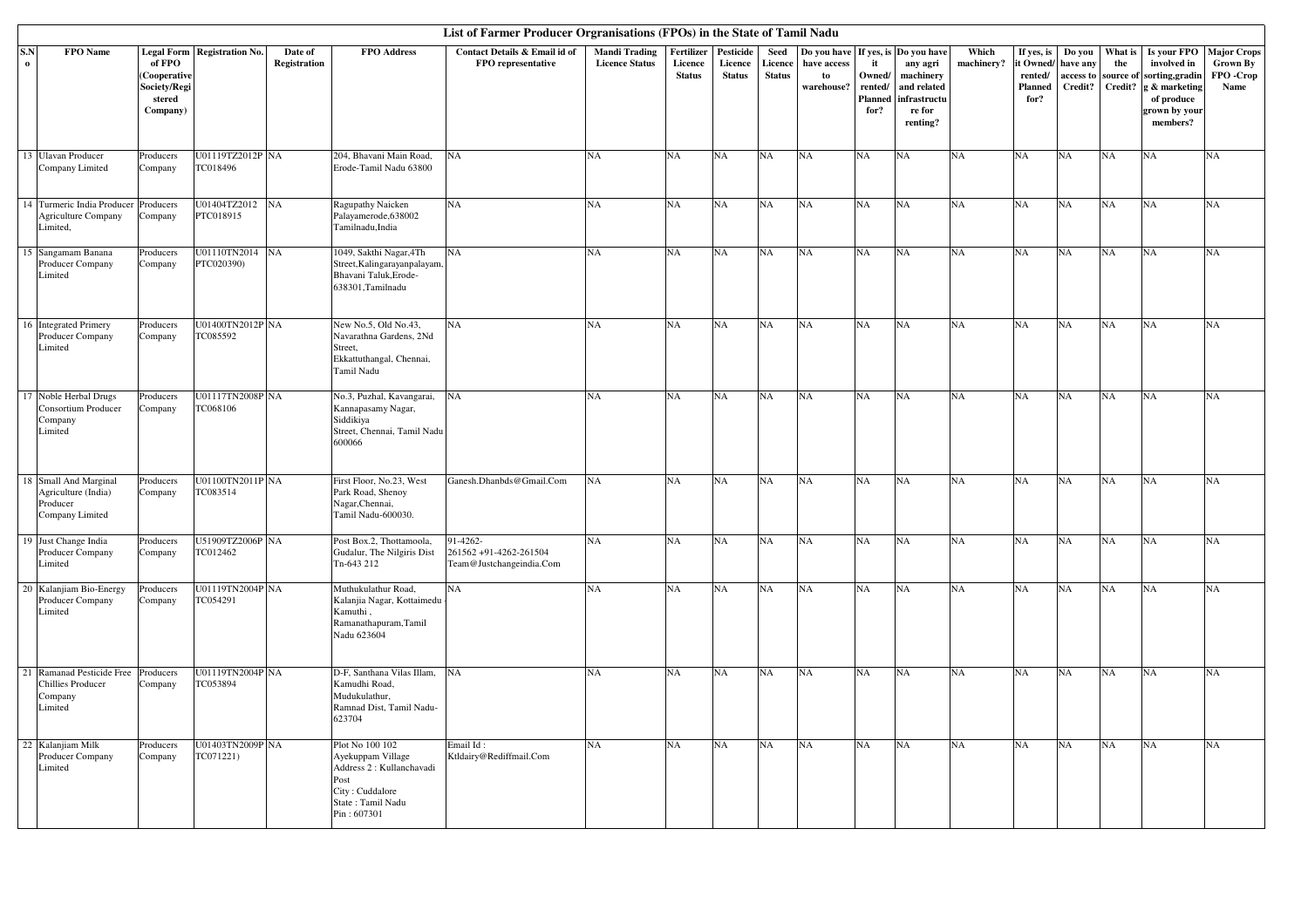|                 |                                                                             |                                                              |                               |                         |                                                                                                                                  | List of Farmer Producer Orgranisations (FPOs) in the State of Tamil Nadu |                                               |                                        |                                       |                                  |                                                                       |                                            |                                                                            |                     |                                                      |                     |                                  |                                                                                                                               |                                                            |
|-----------------|-----------------------------------------------------------------------------|--------------------------------------------------------------|-------------------------------|-------------------------|----------------------------------------------------------------------------------------------------------------------------------|--------------------------------------------------------------------------|-----------------------------------------------|----------------------------------------|---------------------------------------|----------------------------------|-----------------------------------------------------------------------|--------------------------------------------|----------------------------------------------------------------------------|---------------------|------------------------------------------------------|---------------------|----------------------------------|-------------------------------------------------------------------------------------------------------------------------------|------------------------------------------------------------|
| S.N<br>$\bf{0}$ | FPO Name                                                                    | of FPO<br>(Cooperative<br>Society/Regi<br>stered<br>Company) | Legal Form Registration No.   | Date of<br>Registration | FPO Address                                                                                                                      | Contact Details & Email id of<br>FPO representative                      | <b>Mandi Trading</b><br><b>Licence Status</b> | Fertilizer<br>Licence<br><b>Status</b> | Pesticide<br>Licence<br><b>Status</b> | Seed<br>Licence<br><b>Status</b> | Do you have If yes, is Do you have<br>have access<br>to<br>warehouse? | it<br>Owned/<br>rented/<br>Planned<br>for? | any agri<br>machinery<br>and related<br>infrastructu<br>re for<br>renting? | Which<br>machinery? | If yes, is<br>it Owned<br>rented/<br>Planned<br>for? | have any<br>Credit? | Do you What is<br>the<br>Credit? | Is your FPO<br>involved in<br>access to source of sorting, gradin<br>g & marketing<br>of produce<br>grown by your<br>members? | <b>Major Crops</b><br><b>Grown By</b><br>FPO -Crop<br>Name |
|                 | 13 Ulavan Producer<br>Company Limited                                       | Producers<br>Company                                         | U01119TZ2012P NA<br>TC018496  |                         | 204, Bhavani Main Road,<br>Erode-Tamil Nadu 63800                                                                                | NA                                                                       | NA                                            | <b>NA</b>                              | NA                                    | NA                               | NA                                                                    | <b>NA</b>                                  | NA                                                                         | <b>NA</b>           | NA                                                   | NA                  | <b>NA</b>                        | <b>NA</b>                                                                                                                     | NA                                                         |
|                 | 14 Turmeric India Producer<br><b>Agriculture Company</b><br>Limited.        | Producers<br>Company                                         | U01404TZ2012 NA<br>PTC018915  |                         | Ragupathy Naicken<br>Palayamerode, 638002<br>Tamilnadu.India                                                                     | NA                                                                       | <b>NA</b>                                     | <b>NA</b>                              | NA                                    | NA                               | NA                                                                    | <b>NA</b>                                  | NA                                                                         | <b>NA</b>           | NA                                                   | NA                  | <b>NA</b>                        | NA                                                                                                                            | <b>NA</b>                                                  |
|                 | 15 Sangamam Banana<br>Producer Company<br>Limited                           | Producers<br>Company                                         | U01110TN2014 NA<br>PTC020390) |                         | 1049, Sakthi Nagar, 4Th<br>Street, Kalingarayanpalayam,<br>Bhavani Taluk, Erode-<br>638301, Tamilnadu                            | NA                                                                       | NA                                            | <b>NA</b>                              | NA                                    | NA                               | NA                                                                    | NA                                         | NA                                                                         | <b>NA</b>           | NA                                                   | NA                  | <b>NA</b>                        | <b>NA</b>                                                                                                                     | NA                                                         |
|                 | 16 Integrated Primery<br>Producer Company<br>Limited                        | Producers<br>Company                                         | U01400TN2012P NA<br>TC085592  |                         | New No.5, Old No.43,<br>Navarathna Gardens, 2Nd<br>Street,<br>Ekkattuthangal, Chennai,<br>Tamil Nadu                             | NA                                                                       | NA                                            | <b>NA</b>                              | NA                                    | NA                               | NA                                                                    | <b>NA</b>                                  | NA                                                                         | <b>NA</b>           | NA                                                   | NA                  | NA                               | NA                                                                                                                            | <b>NA</b>                                                  |
|                 | 17 Noble Herbal Drugs<br>Consortium Producer<br>Company<br>Limited          | Producers<br>Company                                         | U01117TN2008P NA<br>TC068106  |                         | No.3, Puzhal, Kavangarai,<br>Kannapasamy Nagar,<br>Siddikiya<br>Street, Chennai, Tamil Nadu<br>600066                            | N <sub>A</sub>                                                           | NA                                            | NA                                     | $_{\rm NA}$                           | NA                               | NA                                                                    | NA                                         | NA                                                                         | <b>NA</b>           | NA                                                   | $_{\rm NA}$         | NA                               | <b>NA</b>                                                                                                                     | NA                                                         |
|                 | 18 Small And Marginal<br>Agriculture (India)<br>Producer<br>Company Limited | Producers<br>Company                                         | U01100TN2011P NA<br>TC083514  |                         | First Floor, No.23, West<br>Park Road, Shenoy<br>Nagar, Chennai,<br>Tamil Nadu-600030.                                           | Ganesh.Dhanbds@Gmail.Com                                                 | NA                                            | NA                                     | NA                                    | NA                               | NA                                                                    | NA                                         | NA                                                                         | <b>NA</b>           | NA                                                   | NA                  | NA                               | <b>NA</b>                                                                                                                     | NA                                                         |
|                 | 19 Just Change India<br>Producer Company<br>Limited                         | Producers<br>Company                                         | U51909TZ2006P NA<br>TC012462  |                         | Post Box.2, Thottamoola,<br>Gudalur, The Nilgiris Dist<br>Tn-643 212                                                             | 91-4262-<br>261562 +91-4262-261504<br>Team@Justchangeindia.Com           | <b>NA</b>                                     | <b>NA</b>                              | NA                                    | NA                               | NA                                                                    | NA                                         | NA                                                                         | <b>NA</b>           | NA                                                   | NA                  | <b>NA</b>                        | <b>NA</b>                                                                                                                     | NA                                                         |
|                 | 20 Kalanjiam Bio-Energy<br>Producer Company<br>Limited                      | Producers<br>Company                                         | U01119TN2004P NA<br>TC054291  |                         | Muthukulathur Road,<br>Kalanjia Nagar, Kottaimedu<br>Kamuthi,<br>Ramanathapuram, Tamil<br>Nadu 623604                            | NA                                                                       | <b>NA</b>                                     | NA                                     | $_{\rm NA}$                           | NA                               | NA                                                                    | NA                                         | NA                                                                         | <b>NA</b>           | NA                                                   | NA                  | NA                               | <b>NA</b>                                                                                                                     | NA                                                         |
|                 | 21 Ramanad Pesticide Free<br><b>Chillies Producer</b><br>Company<br>Limited | Producers<br>Company                                         | U01119TN2004P NA<br>TC053894  |                         | D-F, Santhana Vilas Illam, NA<br>Kamudhi Road,<br>Mudukulathur,<br>Ramnad Dist, Tamil Nadu-<br>623704                            |                                                                          | <b>NA</b>                                     | NA                                     | NA                                    | NA                               | NA                                                                    | <b>NA</b>                                  | NA                                                                         | <b>NA</b>           | NA                                                   | NA                  | NA                               | <b>NA</b>                                                                                                                     | <b>NA</b>                                                  |
|                 | 22 Kalanjiam Milk<br>Producer Company<br>Limited                            | Producers<br>Company                                         | U01403TN2009P NA<br>TC071221) |                         | Plot No 100 102<br>Ayekuppam Village<br>Address 2 : Kullanchavadi<br>Post<br>City: Cuddalore<br>State: Tamil Nadu<br>Pin: 607301 | Email Id:<br>Ktldairy@Rediffmail.Com                                     | NA                                            | <b>NA</b>                              | NA                                    | NA                               | NA                                                                    | NA                                         | NA                                                                         | <b>NA</b>           | NA                                                   | NA                  | NA                               | NA                                                                                                                            | <b>NA</b>                                                  |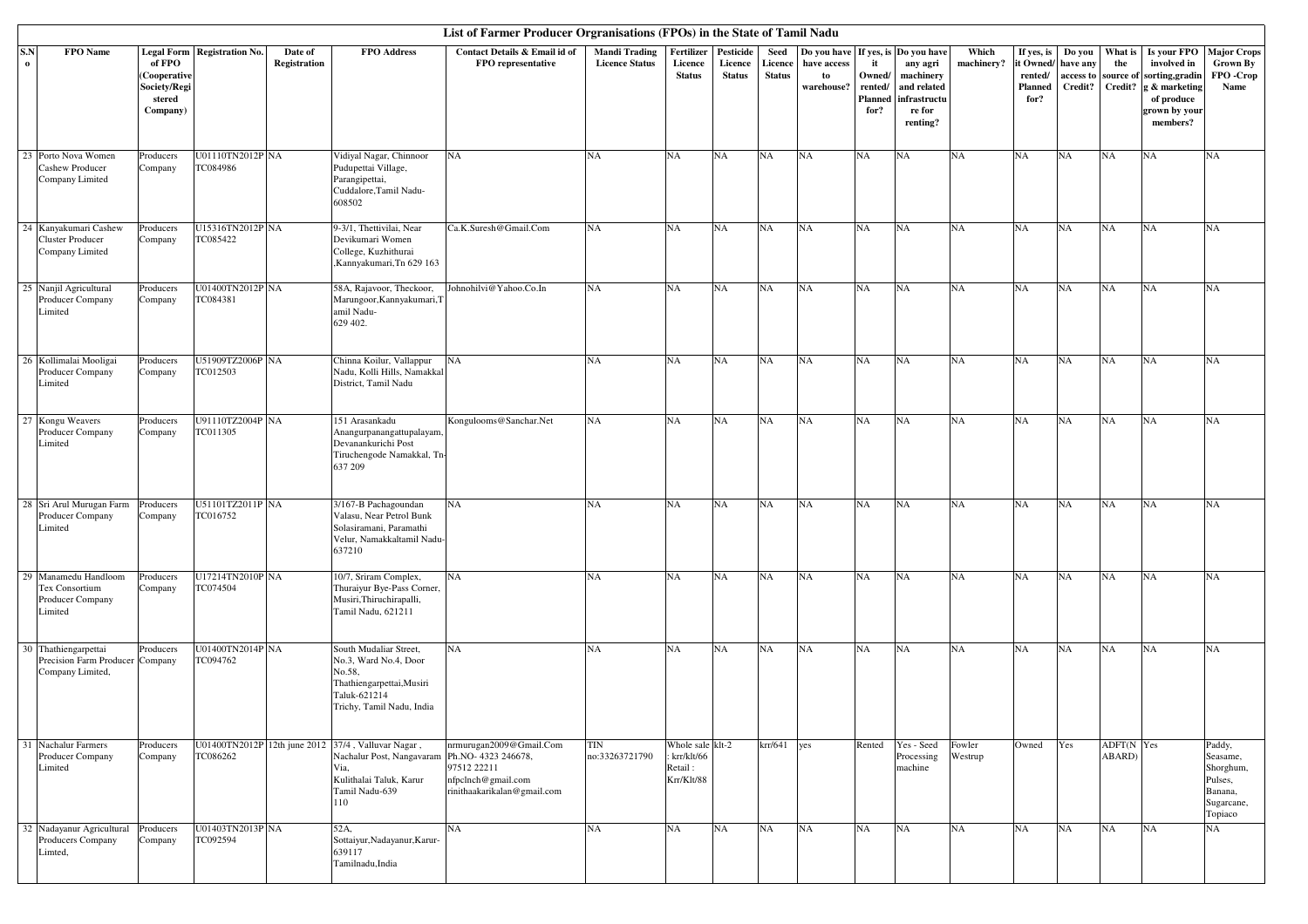|                    | List of Farmer Producer Orgranisations (FPOs) in the State of Tamil Nadu<br>FPO Name<br>Legal Form Registration No.<br><b>FPO</b> Address<br>Contact Details & Email id of<br><b>Mandi Trading</b><br>Fertilizer<br>Pesticide<br>If yes, is<br>Which<br>Do you<br>What is<br>Is your FPO   Major Crops<br>Date of<br>Seed<br>Do you have<br>Do you have<br>If yes, is<br>of FPO<br>Registration<br>FPO representative<br><b>Licence Status</b><br>machinery?<br>it Owned/<br>involved in<br>Licence<br>Licence<br>Licence<br>have access<br>it<br>any agri<br>have any<br>the<br><b>Grown By</b> |                                                    |                              |  |                                                                                                                                                                 |                                                                                             |                              |                                                           |               |               |                  |                                      |                                                                |                   |                                   |                                |                      |                                                                             |                                                                                |
|--------------------|--------------------------------------------------------------------------------------------------------------------------------------------------------------------------------------------------------------------------------------------------------------------------------------------------------------------------------------------------------------------------------------------------------------------------------------------------------------------------------------------------------------------------------------------------------------------------------------------------|----------------------------------------------------|------------------------------|--|-----------------------------------------------------------------------------------------------------------------------------------------------------------------|---------------------------------------------------------------------------------------------|------------------------------|-----------------------------------------------------------|---------------|---------------|------------------|--------------------------------------|----------------------------------------------------------------|-------------------|-----------------------------------|--------------------------------|----------------------|-----------------------------------------------------------------------------|--------------------------------------------------------------------------------|
| S.N<br>$\mathbf 0$ |                                                                                                                                                                                                                                                                                                                                                                                                                                                                                                                                                                                                  | (Cooperative<br>Society/Regi<br>stered<br>Company) |                              |  |                                                                                                                                                                 |                                                                                             |                              | <b>Status</b>                                             | <b>Status</b> | <b>Status</b> | to<br>warehouse? | Owned/<br>rented/<br>Planned<br>for? | machinery<br>and related<br>infrastructu<br>re for<br>renting? |                   | rented/<br><b>Planned</b><br>for? | access to source of<br>Credit? | Credit?              | sorting, gradin<br>g & marketing<br>of produce<br>grown by your<br>members? | FPO -Crop<br>Name                                                              |
|                    | 23 Porto Nova Women<br>Cashew Producer<br>Company Limited                                                                                                                                                                                                                                                                                                                                                                                                                                                                                                                                        | Producers<br>Company                               | U01110TN2012P NA<br>TC084986 |  | Vidiyal Nagar, Chinnoor<br>Pudupettai Village,<br>Parangipettai,<br>Cuddalore, Tamil Nadu-<br>608502                                                            | NA                                                                                          | NA                           | <b>NA</b>                                                 | <b>NA</b>     | NA            | NA               | NA                                   | NA                                                             | <b>NA</b>         | NA                                | NA                             | NA                   | <b>NA</b>                                                                   | <b>NA</b>                                                                      |
|                    | 24 Kanyakumari Cashew<br><b>Cluster Producer</b><br>Company Limited                                                                                                                                                                                                                                                                                                                                                                                                                                                                                                                              | Producers<br>Company                               | U15316TN2012P NA<br>TC085422 |  | 9-3/1, Thettivilai, Near<br>Devikumari Women<br>College, Kuzhithurai<br>,Kannyakumari,Tn 629 163                                                                | Ca.K.Suresh@Gmail.Com                                                                       | NA                           | <b>NA</b>                                                 | NA            | <b>NA</b>     | NA               | NA                                   | NA                                                             | <b>NA</b>         | NA                                | NA                             | NA                   | <b>NA</b>                                                                   | NA                                                                             |
|                    | 25 Nanjil Agricultural<br>Producer Company<br>Limited                                                                                                                                                                                                                                                                                                                                                                                                                                                                                                                                            | Producers<br>Company                               | U01400TN2012P NA<br>TC084381 |  | 58A, Rajavoor, Theckoor,<br>Marungoor, Kannyakumari, T<br>amil Nadu-<br>629 402.                                                                                | Johnohilvi@Yahoo.Co.In                                                                      | NA                           | <b>NA</b>                                                 | NA            | NA            | NA               | NA                                   | NA                                                             | NA                | NA                                | NA                             | NA                   | <b>NA</b>                                                                   | NA                                                                             |
|                    | 26 Kollimalai Mooligai<br>Producer Company<br>Limited                                                                                                                                                                                                                                                                                                                                                                                                                                                                                                                                            | Producers<br>Company                               | U51909TZ2006P NA<br>TC012503 |  | Chinna Koilur, Vallappur<br>Nadu, Kolli Hills, Namakkal<br>District, Tamil Nadu                                                                                 | NA                                                                                          | NA                           | <b>NA</b>                                                 | <b>NA</b>     | <b>NA</b>     | NA               | NA                                   | NA                                                             | NA                | NA                                | NA                             | NA                   | <b>NA</b>                                                                   | NA                                                                             |
|                    | 27 Kongu Weavers<br>Producer Company<br>Limited                                                                                                                                                                                                                                                                                                                                                                                                                                                                                                                                                  | Producers<br>Company                               | U91110TZ2004P NA<br>TC011305 |  | 151 Arasankadu<br>Anangurpanangattupalayam,<br>Devanankurichi Post<br>Tiruchengode Namakkal, Tn-<br>637 209                                                     | Kongulooms@Sanchar.Net                                                                      | NA                           | <b>NA</b>                                                 | NA            | NA            | NA               | NA                                   | NA                                                             | <b>NA</b>         | NA                                | NA                             | NA                   | <b>NA</b>                                                                   | NA                                                                             |
|                    | 28 Sri Arul Murugan Farm<br>Producer Company<br>Limited                                                                                                                                                                                                                                                                                                                                                                                                                                                                                                                                          | Producers<br>Company                               | U51101TZ2011P NA<br>TC016752 |  | 3/167-B Pachagoundan<br>Valasu, Near Petrol Bunk<br>Solasiramani, Paramathi<br>Velur, Namakkaltamil Nadu-<br>637210                                             | NA                                                                                          | NA                           | <b>NA</b>                                                 | NA            | NA            | NA               | NA                                   | NA                                                             | <b>NA</b>         | NA                                | NA                             | NA                   | <b>NA</b>                                                                   | NA                                                                             |
|                    | 29 Manamedu Handloom<br>Tex Consortium<br>Producer Company<br>Limited                                                                                                                                                                                                                                                                                                                                                                                                                                                                                                                            | Producers<br>Company                               | U17214TN2010P NA<br>TC074504 |  | 10/7, Sriram Complex,<br>Thuraiyur Bye-Pass Corner,<br>Musiri, Thiruchirapalli,<br>Tamil Nadu, 621211                                                           | NA                                                                                          | <b>NA</b>                    | <b>NA</b>                                                 | NA            | NA            | NA               | NA                                   | NA                                                             | <b>NA</b>         | NA                                | NA                             | NA                   | <b>NA</b>                                                                   | NA                                                                             |
|                    | 30 Thathiengarpettai<br>Precision Farm Producer Company<br>Company Limited,                                                                                                                                                                                                                                                                                                                                                                                                                                                                                                                      | Producers                                          | U01400TN2014P NA<br>TC094762 |  | South Mudaliar Street,<br>No.3, Ward No.4, Door<br>No.58,<br>Thathiengarpettai, Musiri<br>Taluk-621214<br>Trichy, Tamil Nadu, India                             | NA                                                                                          | <b>NA</b>                    | <b>NA</b>                                                 | NA            | <b>NA</b>     | NA               | NA                                   | NA                                                             | <b>NA</b>         | NA                                | NA                             | NA                   | <b>NA</b>                                                                   | <b>NA</b>                                                                      |
|                    | 31 Nachalur Farmers<br>Producer Company<br>Limited                                                                                                                                                                                                                                                                                                                                                                                                                                                                                                                                               | Producers<br>Company                               | TC086262                     |  | U01400TN2012P 12th june 2012 37/4, Valluvar Nagar,<br>Nachalur Post, Nangavaram Ph.NO- 4323 246678,<br>Via,<br>Kulithalai Taluk, Karur<br>Tamil Nadu-639<br>110 | nrmurugan2009@Gmail.Com<br>97512 22211<br>nfpclnch@gmail.com<br>rinithaakarikalan@gmail.com | <b>TIN</b><br>no:33263721790 | Whole sale klt-2<br>: krr/klt/66<br>Retail:<br>Krr/Klt/88 |               | $krr/641$ yes |                  | Rented                               | Yes - Seed<br>Processing<br>machine                            | Fowler<br>Westrup | Owned                             | Yes                            | ADFT(N Yes<br>ABARD) |                                                                             | Paddy,<br>Seasame,<br>Shorghum,<br>Pulses,<br>Banana,<br>Sugarcane,<br>Topiaco |
|                    | 32 Nadayanur Agricultural<br>Producers Company<br>Limted,                                                                                                                                                                                                                                                                                                                                                                                                                                                                                                                                        | Producers<br>Company                               | U01403TN2013P NA<br>TC092594 |  | 52A,<br>Sottaiyur, Nadayanur, Karur-<br>639117<br>Tamilnadu, India                                                                                              | NA                                                                                          | NA                           | <b>NA</b>                                                 | NA            | NA            | NA               | NA                                   | NA                                                             | NA                | NA                                | NA                             | NA                   | <b>NA</b>                                                                   | NA                                                                             |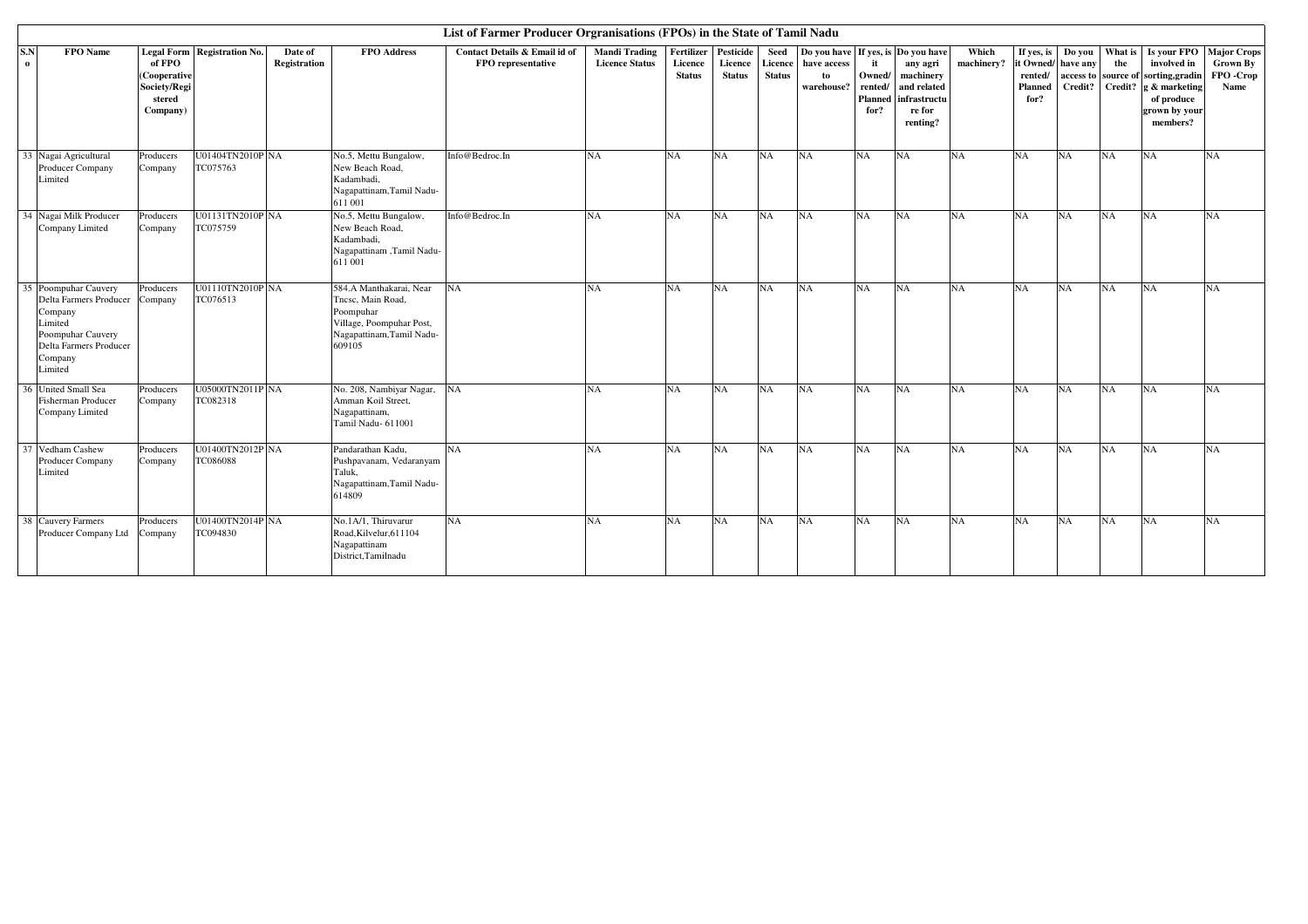|                                                                                                                                                   |                                                              |                              |                         |                                                                                                                              | List of Farmer Producer Orgranisations (FPOs) in the State of Tamil Nadu |                                               |                                        |                                       |                                  |                                                                       |                                                   |                                                                            |                     |                                          |                                         |                |                                                                                                                                          |                                                     |
|---------------------------------------------------------------------------------------------------------------------------------------------------|--------------------------------------------------------------|------------------------------|-------------------------|------------------------------------------------------------------------------------------------------------------------------|--------------------------------------------------------------------------|-----------------------------------------------|----------------------------------------|---------------------------------------|----------------------------------|-----------------------------------------------------------------------|---------------------------------------------------|----------------------------------------------------------------------------|---------------------|------------------------------------------|-----------------------------------------|----------------|------------------------------------------------------------------------------------------------------------------------------------------|-----------------------------------------------------|
| S.N<br><b>FPO</b> Name<br>$\bf{0}$                                                                                                                | of FPO<br>(Cooperative<br>Society/Regi<br>stered<br>Company) | Legal Form Registration No.  | Date of<br>Registration | <b>FPO</b> Address                                                                                                           | Contact Details & Email id of<br>FPO representative                      | <b>Mandi Trading</b><br><b>Licence Status</b> | Fertilizer<br>Licence<br><b>Status</b> | Pesticide<br>Licence<br><b>Status</b> | Seed<br>Licence<br><b>Status</b> | Do you have If yes, is Do you have<br>have access<br>to<br>warehouse? | it<br>Owned/<br>rented/<br><b>Planned</b><br>for? | any agri<br>machinery<br>and related<br>infrastructu<br>re for<br>renting? | Which<br>machinery? | If yes, is<br>rented/<br>Planned<br>for? | Do you<br>it Owned/ have any<br>Credit? | What is<br>the | Is your FPO<br>involved in<br>access to source of sorting, gradin<br>Credit? $g \&$ marketing<br>of produce<br>grown by your<br>members? | <b>Major Crops</b><br>Grown By<br>FPO -Crop<br>Name |
| 33 Nagai Agricultural<br>Producer Company<br>Limited                                                                                              | Producers<br>Company                                         | U01404TN2010P NA<br>TC075763 |                         | No.5, Mettu Bungalow,<br>New Beach Road,<br>Kadambadi.<br>Nagapattinam, Tamil Nadu-<br>611 001                               | Info@Bedroc.In                                                           | <b>NA</b>                                     | <b>NA</b>                              | NA                                    | <b>NA</b>                        | NA                                                                    | <b>NA</b>                                         | NA                                                                         | NA                  | NA                                       | <b>NA</b>                               | <b>NA</b>      | NA                                                                                                                                       | <b>NA</b>                                           |
| 34 Nagai Milk Producer<br>Company Limited                                                                                                         | Producers<br>Company                                         | U01131TN2010P NA<br>TC075759 |                         | No.5, Mettu Bungalow,<br>New Beach Road,<br>Kadambadi.<br>Nagapattinam ,Tamil Nadu-<br>611 001                               | Info@Bedroc.In                                                           | <b>NA</b>                                     | NA                                     | NA                                    | <b>NA</b>                        | NA                                                                    | <b>NA</b>                                         | NA                                                                         | <b>NA</b>           | NA                                       | <b>NA</b>                               | <b>NA</b>      | NA                                                                                                                                       | <b>NA</b>                                           |
| 35 Poompuhar Cauvery<br>Delta Farmers Producer Company<br>Company<br>Limited<br>Poompuhar Cauvery<br>Delta Farmers Producer<br>Company<br>Limited | Producers                                                    | U01110TN2010P NA<br>TC076513 |                         | 584.A Manthakarai, Near<br>Tncsc, Main Road,<br>Poompuhar<br>Village, Poompuhar Post,<br>Nagapattinam, Tamil Nadu-<br>609105 | <b>NA</b>                                                                | <b>NA</b>                                     | NA                                     | <b>NA</b>                             | <b>NA</b>                        | NA                                                                    | <b>NA</b>                                         | NA                                                                         | <b>NA</b>           | NA                                       | NA                                      | <b>NA</b>      | <b>NA</b>                                                                                                                                | <b>NA</b>                                           |
| 36 United Small Sea<br>Fisherman Producer<br>Company Limited                                                                                      | Producers<br>Company                                         | U05000TN2011P NA<br>TC082318 |                         | No. 208, Nambiyar Nagar,<br>Amman Koil Street,<br>Nagapattinam,<br>Tamil Nadu- 611001                                        | NA                                                                       | <b>NA</b>                                     | NA                                     | <b>NA</b>                             | <b>NA</b>                        | NA                                                                    | <b>NA</b>                                         | NA                                                                         | <b>NA</b>           | NA                                       | NA                                      | NA             | <b>NA</b>                                                                                                                                | <b>NA</b>                                           |
| 37 Vedham Cashew<br>Producer Company<br>Limited                                                                                                   | Producers<br>Company                                         | U01400TN2012P NA<br>TC086088 |                         | Pandarathan Kadu.<br>Pushpavanam, Vedaranyam<br>Taluk.<br>Nagapattinam, Tamil Nadu-<br>614809                                | NA                                                                       | <b>NA</b>                                     | <b>NA</b>                              | <b>NA</b>                             | <b>NA</b>                        | <b>NA</b>                                                             | <b>NA</b>                                         | NA                                                                         | <b>NA</b>           | <b>NA</b>                                | NA                                      | <b>NA</b>      | NA                                                                                                                                       | <b>NA</b>                                           |
| 38 Cauvery Farmers<br>Producer Company Ltd                                                                                                        | Producers<br>Company                                         | U01400TN2014P NA<br>TC094830 |                         | No.1A/1, Thiruvarur<br>Road, Kilvelur, 611104<br>Nagapattinam<br>District, Tamilnadu                                         | NA                                                                       | N <sub>A</sub>                                | NA                                     | NA                                    | <b>NA</b>                        | NA                                                                    | <b>NA</b>                                         | NA                                                                         | <b>NA</b>           | NA                                       | NA                                      | <b>NA</b>      | NA                                                                                                                                       | N <sub>A</sub>                                      |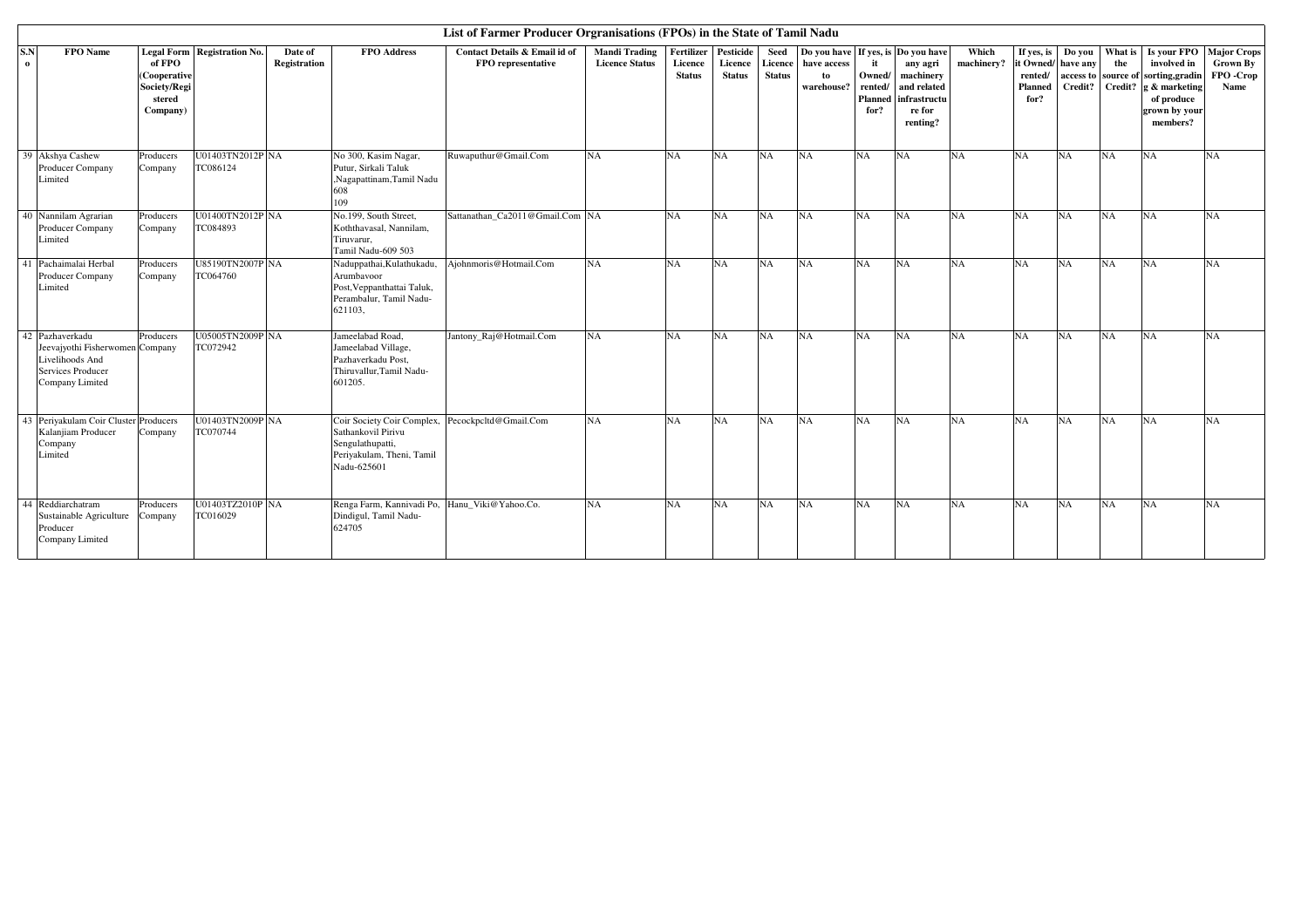|                                                                                                               |                                                              |                              |                         |                                                                                                                                        | List of Farmer Producer Orgranisations (FPOs) in the State of Tamil Nadu |                                               |                                        |                                       |                                  |                                                                       |                                             |                                                                            |                     |                                                       |                               |                           |                                                                                                                |                                                          |
|---------------------------------------------------------------------------------------------------------------|--------------------------------------------------------------|------------------------------|-------------------------|----------------------------------------------------------------------------------------------------------------------------------------|--------------------------------------------------------------------------|-----------------------------------------------|----------------------------------------|---------------------------------------|----------------------------------|-----------------------------------------------------------------------|---------------------------------------------|----------------------------------------------------------------------------|---------------------|-------------------------------------------------------|-------------------------------|---------------------------|----------------------------------------------------------------------------------------------------------------|----------------------------------------------------------|
| S.N<br><b>FPO</b> Name<br>$\mathbf{o}$                                                                        | of FPO<br>(Cooperative<br>Society/Regi<br>stered<br>Company) | Legal Form Registration No.  | Date of<br>Registration | <b>FPO</b> Address                                                                                                                     | Contact Details & Email id of<br>FPO representative                      | <b>Mandi Trading</b><br><b>Licence Status</b> | Fertilizer<br>Licence<br><b>Status</b> | Pesticide<br>Licence<br><b>Status</b> | Seed<br>Licence<br><b>Status</b> | Do you have If yes, is Do you have<br>have access<br>to<br>warehouse? | Owned/<br>rented/<br><b>Planned</b><br>for? | any agri<br>machinery<br>and related<br>infrastructu<br>re for<br>renting? | Which<br>machinery? | If yes, is<br>it Owned/<br>rented/<br>Planned<br>for? | Do you<br>have any<br>Credit? | What is<br>the<br>Credit? | involved in<br>access to source of sorting, gradin<br>g & marketing<br>of produce<br>grown by your<br>members? | Is your FPO Major Crops<br>Grown By<br>FPO -Crop<br>Name |
| Akshya Cashew<br>39<br>Producer Company<br>Limited                                                            | Producers<br>Company                                         | U01403TN2012P NA<br>TC086124 |                         | No 300, Kasim Nagar,<br>Putur, Sirkali Taluk<br>,Nagapattinam,Tamil Nadu<br>608<br>109                                                 | Ruwaputhur@Gmail.Com                                                     | <b>NA</b>                                     | NA                                     | NA                                    | NA                               | NA                                                                    | <b>NA</b>                                   | NA                                                                         | <b>NA</b>           | <b>NA</b>                                             | <b>NA</b>                     | <b>NA</b>                 | NA                                                                                                             | <b>NA</b>                                                |
| 40 Nannilam Agrarian<br><b>Producer Company</b><br>Limited                                                    | Producers<br>Company                                         | U01400TN2012P NA<br>TC084893 |                         | No.199, South Street,<br>Koththavasal, Nannilam,<br>Tiruvarur,<br>Tamil Nadu-609 503                                                   | Sattanathan Ca2011@Gmail.Com NA                                          |                                               | <b>NA</b>                              | <b>NA</b>                             | NA                               | NA                                                                    | <b>NA</b>                                   | NA                                                                         | <b>NA</b>           | NA                                                    | <b>NA</b>                     | <b>NA</b>                 | NA                                                                                                             | <b>NA</b>                                                |
| 41 Pachaimalai Herbal<br>Producer Company<br>Limited                                                          | Producers<br>Company                                         | U85190TN2007P NA<br>TC064760 |                         | Naduppathai, Kulathukadu,<br>Arumbavoor<br>Post, Veppanthattai Taluk,<br>Perambalur, Tamil Nadu-<br>621103.                            | Aiohnmoris@Hotmail.Com                                                   | <b>NA</b>                                     | NA                                     | NA                                    | NA                               | NA                                                                    | <b>NA</b>                                   | NA                                                                         | <b>NA</b>           | NA                                                    | NA                            | <b>NA</b>                 | NA                                                                                                             | <b>NA</b>                                                |
| 42 Pazhaverkadu<br>Jeevajyothi Fisherwomen Company<br>Livelihoods And<br>Services Producer<br>Company Limited | Producers                                                    | U05005TN2009P NA<br>TC072942 |                         | Jameelabad Road,<br>Jameelabad Village,<br>Pazhaverkadu Post,<br>Thiruvallur, Tamil Nadu-<br>601205.                                   | Jantony_Raj@Hotmail.Com                                                  | <b>NA</b>                                     | <b>NA</b>                              | NA                                    | NA                               | NA                                                                    | <b>NA</b>                                   | <b>NA</b>                                                                  | <b>NA</b>           | NA                                                    | <b>NA</b>                     | <b>NA</b>                 | <b>NA</b>                                                                                                      | <b>NA</b>                                                |
| 43 Periyakulam Coir Cluster Producers<br>Kalanjiam Producer<br>Company<br>Limited                             | Company                                                      | U01403TN2009P NA<br>TC070744 |                         | Coir Society Coir Complex, Pecockpcltd@Gmail.Com<br>Sathankovil Pirivu<br>Sengulathupatti,<br>Periyakulam, Theni, Tamil<br>Nadu-625601 |                                                                          | <b>NA</b>                                     | NA                                     | NA                                    | NA                               | NA                                                                    | <b>NA</b>                                   | NA                                                                         | <b>NA</b>           | <b>NA</b>                                             | <b>NA</b>                     | <b>NA</b>                 | <b>NA</b>                                                                                                      | <b>NA</b>                                                |
| 44 Reddiarchatram<br>Sustainable Agriculture<br>Producer<br>Company Limited                                   | Producers<br>Company                                         | U01403TZ2010P NA<br>TC016029 |                         | Renga Farm, Kannivadi Po, Hanu_Viki@Yahoo.Co.<br>Dindigul, Tamil Nadu-<br>624705                                                       |                                                                          | <b>NA</b>                                     | NA                                     | NA                                    | NA                               | <b>NA</b>                                                             | <b>NA</b>                                   | NA                                                                         | <b>NA</b>           | <b>NA</b>                                             | NA                            | <b>NA</b>                 | NA                                                                                                             | <b>NA</b>                                                |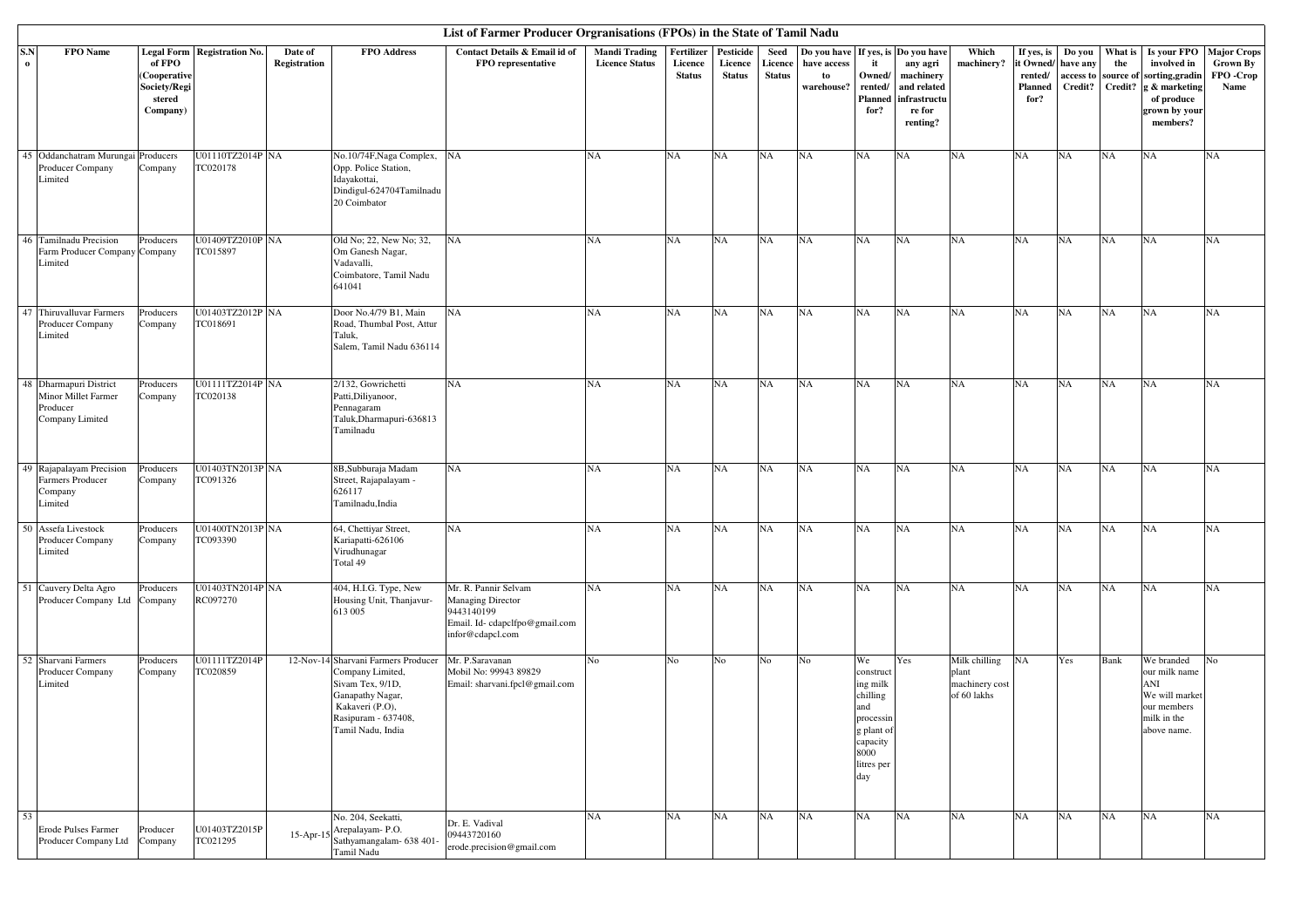|                 |                                                                              |                                                              |                                      |                         |                                                                                                                                                                | List of Farmer Producer Orgranisations (FPOs) in the State of Tamil Nadu                                            |                                               |                                        |                                       |                                  |                                                |                                                                                                                    |                                                                                           |                                                         |                                                              |                                                      |                           |                                                                                                          |                                                    |
|-----------------|------------------------------------------------------------------------------|--------------------------------------------------------------|--------------------------------------|-------------------------|----------------------------------------------------------------------------------------------------------------------------------------------------------------|---------------------------------------------------------------------------------------------------------------------|-----------------------------------------------|----------------------------------------|---------------------------------------|----------------------------------|------------------------------------------------|--------------------------------------------------------------------------------------------------------------------|-------------------------------------------------------------------------------------------|---------------------------------------------------------|--------------------------------------------------------------|------------------------------------------------------|---------------------------|----------------------------------------------------------------------------------------------------------|----------------------------------------------------|
| S.N<br>$\bf{o}$ | FPO Name                                                                     | of FPO<br>(Cooperative<br>Society/Regi<br>stered<br>Company) | <b>Legal Form   Registration No.</b> | Date of<br>Registration | <b>FPO</b> Address                                                                                                                                             | Contact Details & Email id of<br>FPO representative                                                                 | <b>Mandi Trading</b><br><b>Licence Status</b> | Fertilizer<br>Licence<br><b>Status</b> | Pesticide<br>Licence<br><b>Status</b> | Seed<br>Licence<br><b>Status</b> | Do you have<br>have access<br>to<br>warehouse? | If yes, is<br>it<br>Owned/<br>rented/<br>Planned<br>for?                                                           | Do you have<br>any agri<br>machinery<br>and related<br>infrastructu<br>re for<br>renting? | Which<br>machinery?                                     | If yes, is<br>it Owned/<br>rented/<br><b>Planned</b><br>for? | Do you<br>have any<br>access to source of<br>Credit? | What is<br>the<br>Credit? | Is your FPO<br>involved in<br>sorting,gradin<br>g & marketing<br>of produce<br>grown by your<br>members? | <b>Major Crops</b><br>Grown By<br>FPO-Crop<br>Name |
|                 | 45 Oddanchatram Murungai<br>Producer Company<br>Limited                      | Producers<br>Company                                         | U01110TZ2014P NA<br>TC020178         |                         | No.10/74F, Naga Complex,<br>Opp. Police Station,<br>Idayakottai,<br>Dindigul-624704Tamilnadu<br>20 Coimbator                                                   | NA                                                                                                                  | <b>NA</b>                                     | <b>NA</b>                              | NA                                    | <b>NA</b>                        | NA                                             | NA                                                                                                                 | NA                                                                                        | <b>NA</b>                                               | NA                                                           | <b>NA</b>                                            | NA                        | NA                                                                                                       | NA                                                 |
|                 | 46 Tamilnadu Precision<br>Farm Producer Company Company<br>Limited           | Producers                                                    | U01409TZ2010P NA<br>TC015897         |                         | Old No; 22, New No; 32,<br>Om Ganesh Nagar,<br>Vadavalli,<br>Coimbatore, Tamil Nadu<br>641041                                                                  | <b>NA</b>                                                                                                           | <b>NA</b>                                     | <b>NA</b>                              | NA                                    | NA                               | NA                                             | NA                                                                                                                 | NA                                                                                        | <b>NA</b>                                               | NA                                                           | NA                                                   | NA                        | NA                                                                                                       | NA                                                 |
|                 | 47 Thiruvalluvar Farmers<br>Producer Company<br>Limited                      | Producers<br>Company                                         | U01403TZ2012P NA<br>TC018691         |                         | Door No.4/79 B1, Main<br>Road, Thumbal Post, Attur<br>Taluk,<br>Salem, Tamil Nadu 636114                                                                       | <b>NA</b>                                                                                                           | NA                                            | <b>NA</b>                              | NA                                    | NA                               | NA                                             | NA                                                                                                                 | NA                                                                                        | <b>NA</b>                                               | NA                                                           | NA                                                   | <b>NA</b>                 | NA                                                                                                       | NA                                                 |
|                 | 48 Dharmapuri District<br>Minor Millet Farmer<br>Producer<br>Company Limited | Producers<br>Company                                         | U01111TZ2014P NA<br>TC020138         |                         | 2/132, Gowrichetti<br>Patti, Diliyanoor,<br>Pennagaram<br>Taluk, Dharmapuri-636813<br>Tamilnadu                                                                | NA                                                                                                                  | <b>NA</b>                                     | <b>NA</b>                              | NA                                    | NA                               | NA                                             | NA                                                                                                                 | NA                                                                                        | <b>NA</b>                                               | NA                                                           | NA                                                   | <b>NA</b>                 | NA                                                                                                       | NA                                                 |
|                 | 49 Rajapalayam Precision<br>Farmers Producer<br>Company<br>Limited           | Producers<br>Company                                         | U01403TN2013P NA<br>TC091326         |                         | 8B, Subburaja Madam<br>Street, Rajapalayam -<br>626117<br>Tamilnadu, India                                                                                     | NA                                                                                                                  | <b>NA</b>                                     | <b>NA</b>                              | NA                                    | <b>NA</b>                        | NA                                             | NA                                                                                                                 | NA                                                                                        | <b>NA</b>                                               | NA                                                           | NA                                                   | <b>NA</b>                 | NA                                                                                                       | NA                                                 |
|                 | 50 Assefa Livestock<br>Producer Company<br>Limited                           | Producers<br>Company                                         | U01400TN2013P NA<br>TC093390         |                         | 64, Chettiyar Street,<br>Kariapatti-626106<br>Virudhunagar<br>Total 49                                                                                         | NA                                                                                                                  | <b>NA</b>                                     | <b>NA</b>                              | NA                                    | <b>NA</b>                        | NA                                             | NA                                                                                                                 | NA                                                                                        | <b>NA</b>                                               | NA                                                           | NA                                                   | NA                        | NA                                                                                                       | NA                                                 |
|                 | 51 Cauvery Delta Agro<br>Producer Company Ltd Company                        | Producers                                                    | U01403TN2014P NA<br>RC097270         |                         | 404, H.I.G. Type, New<br>Housing Unit, Thanjavur-<br>613 005                                                                                                   | Mr. R. Pannir Selvam<br><b>Managing Director</b><br>9443140199<br>Email. Id-cdapclfpo@gmail.com<br>infor@cdapcl.com | <b>NA</b>                                     | <b>NA</b>                              | NA                                    | NA                               | <b>NA</b>                                      | NA                                                                                                                 | NA                                                                                        | <b>NA</b>                                               | NA                                                           | <b>NA</b>                                            | <b>NA</b>                 | NA                                                                                                       | NA                                                 |
|                 | 52 Sharvani Farmers<br>Producer Company<br>Limited                           | Producers<br>Company                                         | U01111TZ2014P<br>TC020859            |                         | 12-Nov-14 Sharvani Farmers Producer<br>Company Limited,<br>Sivam Tex, 9/1D,<br>Ganapathy Nagar,<br>Kakaveri (P.O),<br>Rasipuram - 637408,<br>Tamil Nadu, India | Mr. P.Saravanan<br>Mobil No: 99943 89829<br>Email: sharvani.fpcl@gmail.com                                          | No                                            | No                                     | No                                    | No                               | N <sub>o</sub>                                 | We<br>construct<br>ing milk<br>chilling<br>and<br>processin<br>g plant of<br>capacity<br>8000<br>litres per<br>day | Yes                                                                                       | Milk chilling<br>plant<br>machinery cost<br>of 60 lakhs | NA                                                           | Yes                                                  | Bank                      | We branded<br>our milk name<br>ANI<br>We will market<br>our members<br>milk in the<br>above name.        | No                                                 |
| 53              | Erode Pulses Farmer<br>Producer Company Ltd                                  | Producer<br>Company                                          | U01403TZ2015P<br>TC021295            | 15-Apr-15               | No. 204, Seekatti,<br>Arepalayam-P.O.<br>Sathyamangalam- 638 401-<br>Tamil Nadu                                                                                | Dr. E. Vadival<br>09443720160<br>erode.precision@gmail.com                                                          | <b>NA</b>                                     | NA                                     | NA                                    | NA                               | NA                                             | NA                                                                                                                 | NA                                                                                        | <b>NA</b>                                               | NA                                                           | <b>NA</b>                                            | NA                        | NA                                                                                                       | NA                                                 |